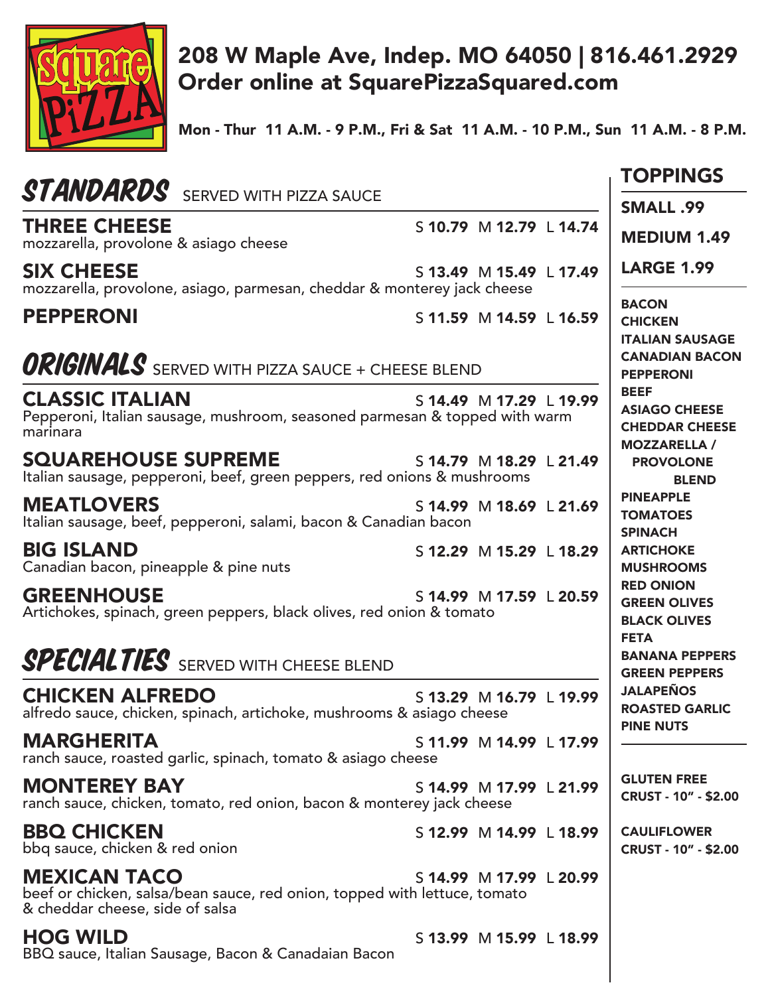

## 208 W Maple Ave, Indep. MO 64050 | 816.461.2929 Order online at SquarePizzaSquared.com

Mon - Thur 11 A.M. - 9 P.M., Fri & Sat 11 A.M. - 10 P.M., Sun 11 A.M. - 8 P.M.

|                                                                                                                                                                | <b>TOPPINGS</b>                                                                     |
|----------------------------------------------------------------------------------------------------------------------------------------------------------------|-------------------------------------------------------------------------------------|
| <b>STANDARDS</b> SERVED WITH PIZZA SAUCE                                                                                                                       | <b>SMALL .99</b>                                                                    |
| <b>THREE CHEESE</b><br>S 10.79 M 12.79 L 14.74<br>mozzarella, provolone & asiago cheese                                                                        | <b>MEDIUM 1.49</b>                                                                  |
| <b>SIX CHEESE</b><br>S 13.49 M 15.49 L 17.49<br>mozzarella, provolone, asiago, parmesan, cheddar & monterey jack cheese                                        | <b>LARGE 1.99</b>                                                                   |
| <b>PEPPERONI</b><br>S 11.59 M 14.59 L 16.59                                                                                                                    | <b>BACON</b><br><b>CHICKEN</b><br><b>ITALIAN SAUSAGE</b>                            |
| <b>ORIGINALS</b> SERVED WITH PIZZA SAUCE + CHEESE BLEND                                                                                                        | <b>CANADIAN BACON</b><br><b>PEPPERONI</b>                                           |
| <b>CLASSIC ITALIAN</b><br>S 14.49 M 17.29 L 19.99<br>Pepperoni, Italian sausage, mushroom, seasoned parmesan & topped with warm<br>marinara                    | <b>BEEF</b><br><b>ASIAGO CHEESE</b><br><b>CHEDDAR CHEESE</b><br><b>MOZZARELLA /</b> |
| <b>SQUAREHOUSE SUPREME</b><br>S 14.79 M 18.29 L 21.49<br>Italian sausage, pepperoni, beef, green peppers, red onions & mushrooms                               | <b>PROVOLONE</b><br><b>BLEND</b>                                                    |
| <b>MEATLOVERS</b><br>S 14.99 M 18.69 L 21.69<br>Italian sausage, beef, pepperoni, salami, bacon & Canadian bacon                                               | <b>PINEAPPLE</b><br><b>TOMATOES</b><br><b>SPINACH</b>                               |
| <b>BIG ISLAND</b><br>S 12.29 M 15.29 L 18.29<br>Canadian bacon, pineapple & pine nuts                                                                          | <b>ARTICHOKE</b><br><b>MUSHROOMS</b>                                                |
| <b>GREENHOUSE</b><br>S 14.99 M 17.59 L 20.59<br>Artichokes, spinach, green peppers, black olives, red onion & tomato                                           | <b>RED ONION</b><br><b>GREEN OLIVES</b><br><b>BLACK OLIVES</b><br><b>FETA</b>       |
| <b>SPECIAL TIES</b> SERVED WITH CHEESE BLEND                                                                                                                   | <b>BANANA PEPPERS</b><br><b>GREEN PEPPERS</b>                                       |
| <b>CHICKEN ALFREDO</b><br>S 13.29 M 16.79 L 19.99<br>alfredo sauce, chicken, spinach, artichoke, mushrooms & asiago cheese                                     | <b>JALAPEÑOS</b><br><b>ROASTED GARLIC</b><br><b>PINE NUTS</b>                       |
| <b>MARGHERITA</b><br>S 11.99 M 14.99 L 17.99<br>ranch sauce, roasted garlic, spinach, tomato & asiago cheese                                                   |                                                                                     |
| <b>MONTEREY BAY</b><br>S 14.99 M 17.99 L 21.99<br>ranch sauce, chicken, tomato, red onion, bacon & monterey jack cheese                                        | <b>GLUTEN FREE</b><br><b>CRUST - 10" - \$2.00</b>                                   |
| <b>BBQ CHICKEN</b><br>S 12.99 M 14.99 L 18.99<br>bbq sauce, chicken & red onion                                                                                | <b>CAULIFLOWER</b><br><b>CRUST - 10" - \$2.00</b>                                   |
| <b>MEXICAN TACO</b><br>S 14.99 M 17.99 L 20.99<br>beef or chicken, salsa/bean sauce, red onion, topped with lettuce, tomato<br>& cheddar cheese, side of salsa |                                                                                     |
| <b>HOG WILD</b><br>S 13.99 M 15.99 L 18.99<br>BBQ sauce, Italian Sausage, Bacon & Canadaian Bacon                                                              |                                                                                     |